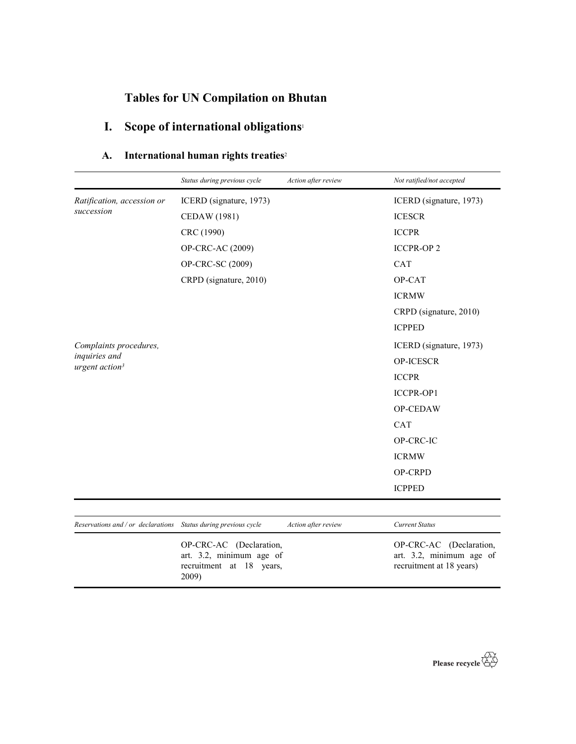# Tables for UN Compilation on Bhutan

# I. Scope of international obligations<sup>1</sup>

## A. International human rights treaties<sup>2</sup>

|                                                                 | Status during previous cycle                                                                | Action after review | Not ratified/not accepted                                                       |
|-----------------------------------------------------------------|---------------------------------------------------------------------------------------------|---------------------|---------------------------------------------------------------------------------|
| Ratification, accession or                                      | ICERD (signature, 1973)                                                                     |                     | ICERD (signature, 1973)                                                         |
| succession                                                      | CEDAW (1981)                                                                                |                     | <b>ICESCR</b>                                                                   |
|                                                                 | CRC (1990)                                                                                  |                     | <b>ICCPR</b>                                                                    |
|                                                                 | OP-CRC-AC (2009)                                                                            |                     | <b>ICCPR-OP2</b>                                                                |
|                                                                 | OP-CRC-SC (2009)                                                                            |                     | CAT                                                                             |
|                                                                 | CRPD (signature, 2010)                                                                      |                     | OP-CAT                                                                          |
|                                                                 |                                                                                             |                     | <b>ICRMW</b>                                                                    |
|                                                                 |                                                                                             |                     | CRPD (signature, 2010)                                                          |
|                                                                 |                                                                                             |                     | <b>ICPPED</b>                                                                   |
| Complaints procedures,                                          |                                                                                             |                     | ICERD (signature, 1973)                                                         |
| inquiries and<br>urgent action <sup>3</sup>                     |                                                                                             |                     | OP-ICESCR                                                                       |
|                                                                 |                                                                                             |                     | <b>ICCPR</b>                                                                    |
|                                                                 |                                                                                             |                     | ICCPR-OP1                                                                       |
|                                                                 |                                                                                             |                     | OP-CEDAW                                                                        |
|                                                                 |                                                                                             |                     | CAT                                                                             |
|                                                                 |                                                                                             |                     | OP-CRC-IC                                                                       |
|                                                                 |                                                                                             |                     | <b>ICRMW</b>                                                                    |
|                                                                 |                                                                                             |                     | OP-CRPD                                                                         |
|                                                                 |                                                                                             |                     | <b>ICPPED</b>                                                                   |
|                                                                 |                                                                                             |                     |                                                                                 |
| Reservations and / or declarations Status during previous cycle |                                                                                             | Action after review | <b>Current Status</b>                                                           |
|                                                                 | OP-CRC-AC (Declaration,<br>art. 3.2, minimum age of<br>recruitment at 18<br>years,<br>2009) |                     | OP-CRC-AC (Declaration,<br>art. 3.2, minimum age of<br>recruitment at 18 years) |

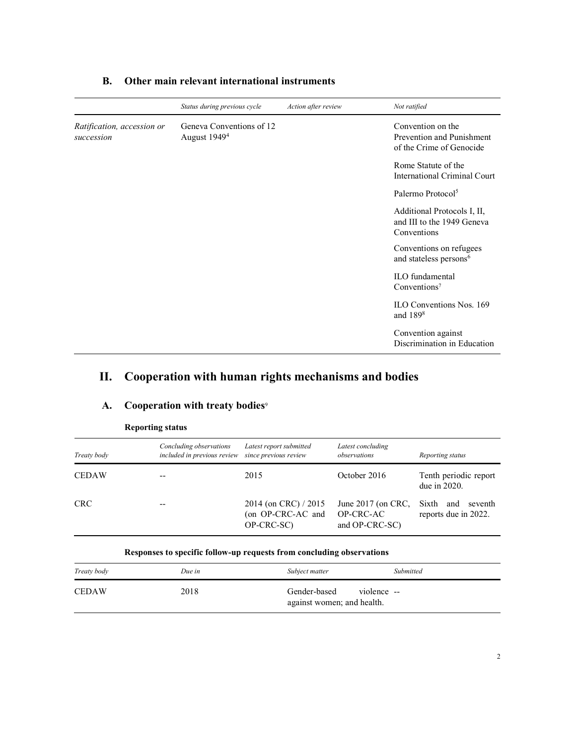|                                          | Status during previous cycle                         | Action after review | Not ratified                                                               |
|------------------------------------------|------------------------------------------------------|---------------------|----------------------------------------------------------------------------|
| Ratification, accession or<br>succession | Geneva Conventions of 12<br>August 1949 <sup>4</sup> |                     | Convention on the<br>Prevention and Punishment<br>of the Crime of Genocide |
|                                          |                                                      |                     | Rome Statute of the<br>International Criminal Court                        |
|                                          |                                                      |                     | Palermo Protocol <sup>5</sup>                                              |
|                                          |                                                      |                     | Additional Protocols I, II,<br>and III to the 1949 Geneva<br>Conventions   |
|                                          |                                                      |                     | Conventions on refugees<br>and stateless persons <sup>6</sup>              |
|                                          |                                                      |                     | <b>ILO</b> fundamental<br>Conventions <sup>7</sup>                         |
|                                          |                                                      |                     | ILO Conventions Nos. 169<br>and $1898$                                     |
|                                          |                                                      |                     | Convention against<br>Discrimination in Education                          |

### B. Other main relevant international instruments

## II. Cooperation with human rights mechanisms and bodies

### A. Cooperation with treaty bodies<sup>9</sup>

| Treaty body  | Concluding observations<br>included in previous review | Latest report submitted<br>since previous review        | Latest concluding<br>observations                   | Reporting status                                |
|--------------|--------------------------------------------------------|---------------------------------------------------------|-----------------------------------------------------|-------------------------------------------------|
| <b>CEDAW</b> |                                                        | 2015                                                    | October 2016                                        | Tenth periodic report<br>due in $2020$ .        |
| <b>CRC</b>   |                                                        | 2014 (on CRC) / 2015<br>(on OP-CRC-AC and<br>OP-CRC-SC) | June $2017$ (on CRC,<br>OP-CRC-AC<br>and OP-CRC-SC) | Sixth<br>and<br>seventh<br>reports due in 2022. |

#### Reporting status

#### Responses to specific follow-up requests from concluding observations

| Treaty body  | Due in | Subject matter                                            | <b>Submitted</b> |
|--------------|--------|-----------------------------------------------------------|------------------|
| <b>CEDAW</b> | 2018   | Gender-based<br>violence --<br>against women; and health. |                  |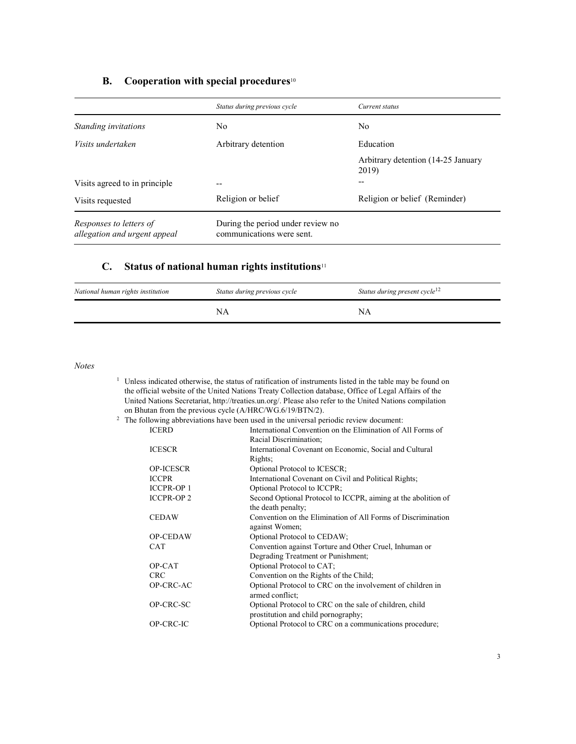## **B.** Cooperation with special procedures<sup>10</sup>

|                                                         | Status during previous cycle                                   | Current status                              |
|---------------------------------------------------------|----------------------------------------------------------------|---------------------------------------------|
| Standing invitations                                    | No.                                                            | N <sub>0</sub>                              |
| Visits undertaken                                       | Arbitrary detention                                            | Education                                   |
|                                                         |                                                                | Arbitrary detention (14-25 January<br>2019) |
| Visits agreed to in principle                           |                                                                | --                                          |
| Visits requested                                        | Religion or belief                                             | Religion or belief (Reminder)               |
| Responses to letters of<br>allegation and urgent appeal | During the period under review no<br>communications were sent. |                                             |

# C. Status of national human rights institutions $11$

| National human rights institution | Status during previous cycle | Status during present cycle <sup>12</sup> |
|-----------------------------------|------------------------------|-------------------------------------------|
|                                   |                              | ΝA                                        |

Notes

| <sup>1</sup> Unless indicated otherwise, the status of ratification of instruments listed in the table may be found on |
|------------------------------------------------------------------------------------------------------------------------|
| the official website of the United Nations Treaty Collection database, Office of Legal Affairs of the                  |
| United Nations Secretariat, http://treaties.un.org/. Please also refer to the United Nations compilation               |
| on Bhutan from the previous cycle (A/HRC/WG.6/19/BTN/2).                                                               |
| $\frac{2}{3}$ The following abbreviations have been used in the universal periodic review document:                    |

| The following abbreviations have been used in the universal periodic review document: |  |  |  |
|---------------------------------------------------------------------------------------|--|--|--|
|                                                                                       |  |  |  |
|                                                                                       |  |  |  |

| <b>ICERD</b>      | International Convention on the Elimination of All Forms of   |
|-------------------|---------------------------------------------------------------|
|                   | Racial Discrimination;                                        |
| <b>ICESCR</b>     | International Covenant on Economic, Social and Cultural       |
|                   | Rights;                                                       |
| <b>OP-ICESCR</b>  | Optional Protocol to ICESCR;                                  |
| <b>ICCPR</b>      | International Covenant on Civil and Political Rights;         |
| <b>ICCPR-OP1</b>  | Optional Protocol to ICCPR;                                   |
| <b>ICCPR-OP 2</b> | Second Optional Protocol to ICCPR, aiming at the abolition of |
|                   | the death penalty;                                            |
| <b>CEDAW</b>      | Convention on the Elimination of All Forms of Discrimination  |
|                   | against Women;                                                |
| OP-CEDAW          | Optional Protocol to CEDAW;                                   |
| <b>CAT</b>        | Convention against Torture and Other Cruel, Inhuman or        |
|                   | Degrading Treatment or Punishment;                            |
| OP-CAT            | Optional Protocol to CAT;                                     |
| <b>CRC</b>        | Convention on the Rights of the Child;                        |
| OP-CRC-AC         | Optional Protocol to CRC on the involvement of children in    |
|                   | armed conflict;                                               |
| OP-CRC-SC         | Optional Protocol to CRC on the sale of children, child       |
|                   | prostitution and child pornography;                           |
| OP-CRC-IC         | Optional Protocol to CRC on a communications procedure;       |
|                   |                                                               |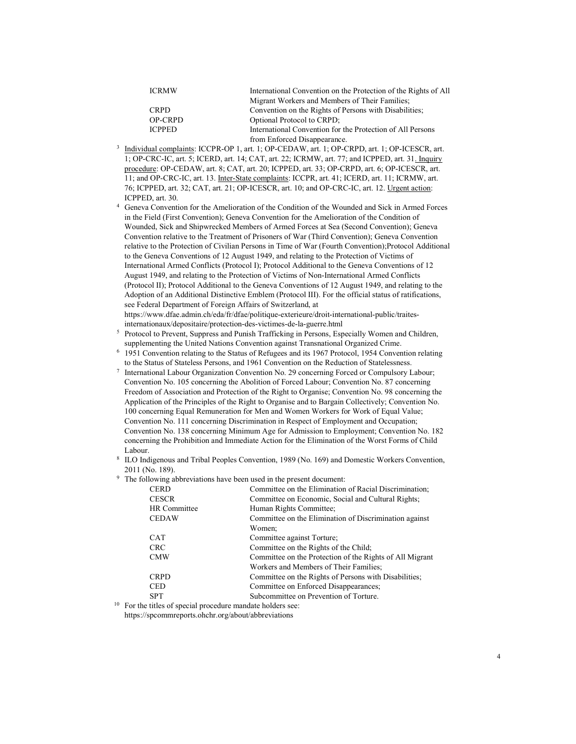| <b>ICRMW</b>  | International Convention on the Protection of the Rights of All |  |
|---------------|-----------------------------------------------------------------|--|
|               | Migrant Workers and Members of Their Families;                  |  |
| <b>CRPD</b>   | Convention on the Rights of Persons with Disabilities.          |  |
| OP-CRPD       | Optional Protocol to CRPD;                                      |  |
| <b>ICPPED</b> | International Convention for the Protection of All Persons      |  |
|               | from Enforced Disappearance.                                    |  |

- <sup>3</sup> Individual complaints: ICCPR-OP 1, art. 1; OP-CEDAW, art. 1; OP-CRPD, art. 1; OP-ICESCR, art. 1; OP-CRC-IC, art. 5; ICERD, art. 14; CAT, art. 22; ICRMW, art. 77; and ICPPED, art. 31. Inquiry procedure: OP-CEDAW, art. 8; CAT, art. 20; ICPPED, art. 33; OP-CRPD, art. 6; OP-ICESCR, art. 11; and OP-CRC-IC, art. 13. Inter-State complaints: ICCPR, art. 41; ICERD, art. 11; ICRMW, art. 76; ICPPED, art. 32; CAT, art. 21; OP-ICESCR, art. 10; and OP-CRC-IC, art. 12. Urgent action: ICPPED, art. 30.
- 4 Geneva Convention for the Amelioration of the Condition of the Wounded and Sick in Armed Forces in the Field (First Convention); Geneva Convention for the Amelioration of the Condition of Wounded, Sick and Shipwrecked Members of Armed Forces at Sea (Second Convention); Geneva Convention relative to the Treatment of Prisoners of War (Third Convention); Geneva Convention relative to the Protection of Civilian Persons in Time of War (Fourth Convention);Protocol Additional to the Geneva Conventions of 12 August 1949, and relating to the Protection of Victims of International Armed Conflicts (Protocol I); Protocol Additional to the Geneva Conventions of 12 August 1949, and relating to the Protection of Victims of Non-International Armed Conflicts (Protocol II); Protocol Additional to the Geneva Conventions of 12 August 1949, and relating to the Adoption of an Additional Distinctive Emblem (Protocol III). For the official status of ratifications, see Federal Department of Foreign Affairs of Switzerland, at https://www.dfae.admin.ch/eda/fr/dfae/politique-exterieure/droit-international-public/traitesinternationaux/depositaire/protection-des-victimes-de-la-guerre.html
- 5 Protocol to Prevent, Suppress and Punish Trafficking in Persons, Especially Women and Children, supplementing the United Nations Convention against Transnational Organized Crime.
- <sup>6</sup> 1951 Convention relating to the Status of Refugees and its 1967 Protocol, 1954 Convention relating to the Status of Stateless Persons, and 1961 Convention on the Reduction of Statelessness.
- 7 International Labour Organization Convention No. 29 concerning Forced or Compulsory Labour; Convention No. 105 concerning the Abolition of Forced Labour; Convention No. 87 concerning Freedom of Association and Protection of the Right to Organise; Convention No. 98 concerning the Application of the Principles of the Right to Organise and to Bargain Collectively; Convention No. 100 concerning Equal Remuneration for Men and Women Workers for Work of Equal Value; Convention No. 111 concerning Discrimination in Respect of Employment and Occupation; Convention No. 138 concerning Minimum Age for Admission to Employment; Convention No. 182 concerning the Prohibition and Immediate Action for the Elimination of the Worst Forms of Child Labour.
- 8 ILO Indigenous and Tribal Peoples Convention, 1989 (No. 169) and Domestic Workers Convention, 2011 (No. 189).
- <sup>9</sup> The following abbreviations have been used in the present document:

| <b>CERD</b>  | Committee on the Elimination of Racial Discrimination;   |
|--------------|----------------------------------------------------------|
| <b>CESCR</b> | Committee on Economic, Social and Cultural Rights;       |
| HR Committee | Human Rights Committee;                                  |
| <b>CEDAW</b> | Committee on the Elimination of Discrimination against   |
|              | Women:                                                   |
| <b>CAT</b>   | Committee against Torture;                               |
| <b>CRC</b>   | Committee on the Rights of the Child;                    |
| <b>CMW</b>   | Committee on the Protection of the Rights of All Migrant |
|              | Workers and Members of Their Families;                   |
| <b>CRPD</b>  | Committee on the Rights of Persons with Disabilities;    |
| <b>CED</b>   | Committee on Enforced Disappearances;                    |
| <b>SPT</b>   | Subcommittee on Prevention of Torture.                   |
|              |                                                          |

<sup>10</sup> For the titles of special procedure mandate holders see:

https://spcommreports.ohchr.org/about/abbreviations